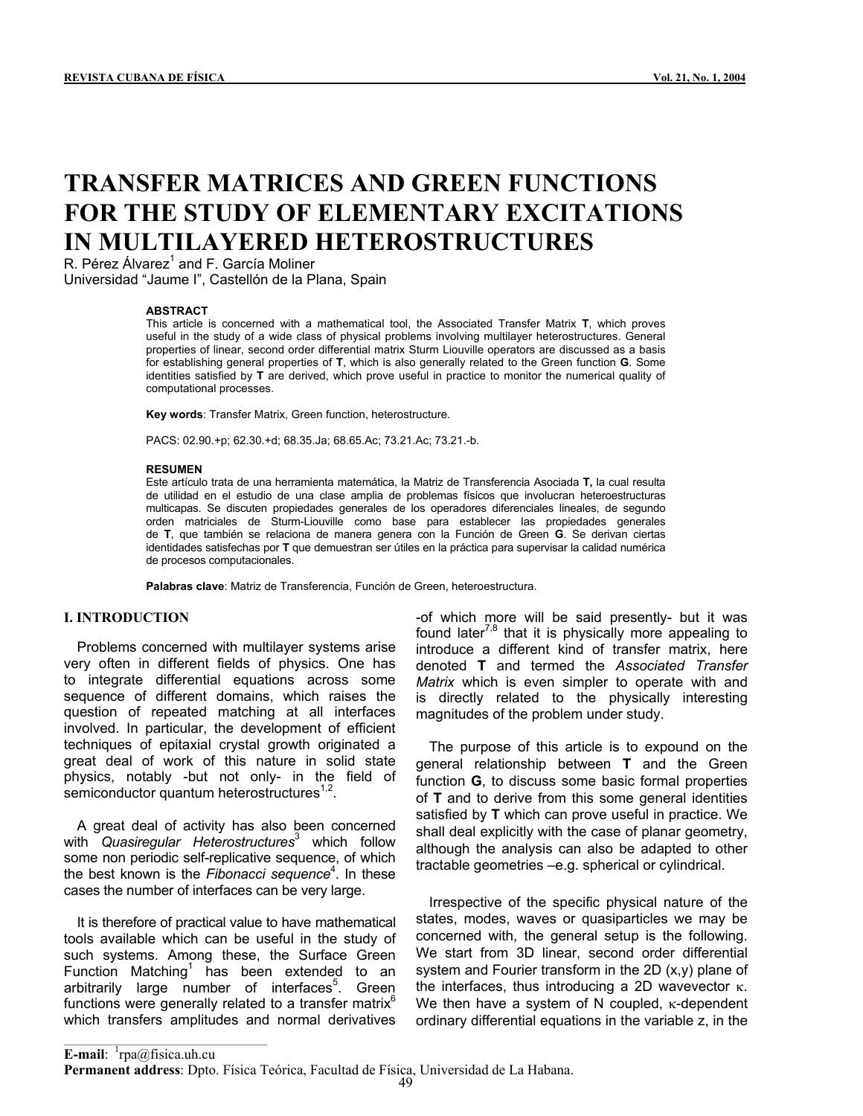# **TRANSFER MATRICES AND GREEN FUNCTIONS FOR THE STUDY OF ELEMENTARY EXCITATIONS IN MULTILAYERED HETEROSTRUCTURES**

R. Pérez Álvarez<sup>1</sup> and F. García Moliner Universidad "Jaume I", Castellón de la Plana, Spain

### **ABSTRACT**

This article is concerned with a mathematical tool, the Associated Transfer Matrix **T**, which proves useful in the study of a wide class of physical problems involving multilayer heterostructures. General properties of linear, second order differential matrix Sturm Liouville operators are discussed as a basis for establishing general properties of **T**, which is also generally related to the Green function **G**. Some identities satisfied by **T** are derived, which prove useful in practice to monitor the numerical quality of computational processes.

**Key words**: Transfer Matrix, Green function, heterostructure.

PACS: 02.90.+p; 62.30.+d; 68.35.Ja; 68.65.Ac; 73.21.Ac; 73.21.-b.

### **RESUMEN**

Este artículo trata de una herramienta matemática, la Matriz de Transferencia Asociada **T,** la cual resulta de utilidad en el estudio de una clase amplia de problemas físicos que involucran heteroestructuras multicapas. Se discuten propiedades generales de los operadores diferenciales lineales, de segundo orden matriciales de Sturm-Liouville como base para establecer las propiedades generales de **T**, que también se relaciona de manera genera con la Función de Green **G**. Se derivan ciertas identidades satisfechas por **T** que demuestran ser útiles en la práctica para supervisar la calidad numérica de procesos computacionales.

**Palabras clave**: Matriz de Transferencia, Función de Green, heteroestructura.

### **I. INTRODUCTION**

l

Problems concerned with multilayer systems arise very often in different fields of physics. One has to integrate differential equations across some sequence of different domains, which raises the question of repeated matching at all interfaces involved. In particular, the development of efficient techniques of epitaxial crystal growth originated a great deal of work of this nature in solid state physics, notably -but not only- in the field of semiconductor quantum heterostructures<sup> $1,2$ </sup>.

A great deal of activity has also been concerned with *Quasiregular Heterostructures*<sup>3</sup> which follow some non periodic self-replicative sequence, of which the best known is the *Fibonacci sequence*<sup>4</sup> . In these cases the number of interfaces can be very large.

It is therefore of practical value to have mathematical tools available which can be useful in the study of such systems. Among these, the Surface Green Function Matching<sup>1</sup> has been extended to an arbitrarily large number of interfaces<sup>5</sup>. Green functions were generally related to a transfer matrix $<sup>6</sup>$ </sup> which transfers amplitudes and normal derivatives

-of which more will be said presently- but it was found later<sup>7,8</sup> that it is physically more appealing to introduce a different kind of transfer matrix, here denoted **T** and termed the *Associated Transfer Matrix* which is even simpler to operate with and is directly related to the physically interesting magnitudes of the problem under study.

The purpose of this article is to expound on the general relationship between **T** and the Green function **G**, to discuss some basic formal properties of **T** and to derive from this some general identities satisfied by **T** which can prove useful in practice. We shall deal explicitly with the case of planar geometry, although the analysis can also be adapted to other tractable geometries –e.g. spherical or cylindrical.

Irrespective of the specific physical nature of the states, modes, waves or quasiparticles we may be concerned with, the general setup is the following. We start from 3D linear, second order differential system and Fourier transform in the 2D (x,y) plane of the interfaces, thus introducing a 2D wavevector κ. We then have a system of N coupled, κ-dependent ordinary differential equations in the variable z, in the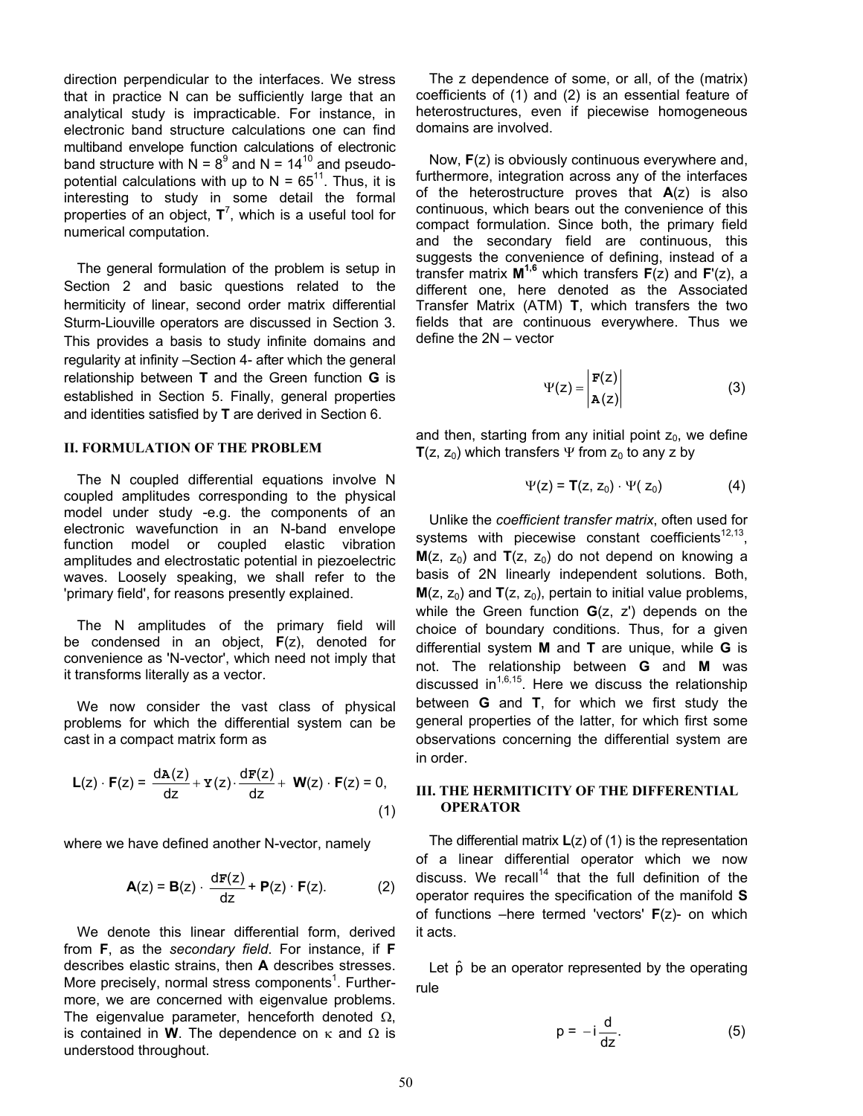direction perpendicular to the interfaces. We stress that in practice N can be sufficiently large that an analytical study is impracticable. For instance, in electronic band structure calculations one can find multiband envelope function calculations of electronic band structure with  $N = 8^9$  and  $N = 14^{10}$  and pseudopotential calculations with up to  $N = 65^{11}$ . Thus, it is interesting to study in some detail the formal properties of an object, **T**<sup>7</sup> , which is a useful tool for numerical computation.

The general formulation of the problem is setup in Section 2 and basic questions related to the hermiticity of linear, second order matrix differential Sturm-Liouville operators are discussed in Section 3. This provides a basis to study infinite domains and regularity at infinity –Section 4- after which the general relationship between **T** and the Green function **G** is established in Section 5. Finally, general properties and identities satisfied by **T** are derived in Section 6.

The N coupled differential equations involve N coupled amplitudes corresponding to the physical model under study -e.g. the components of an electronic wavefunction in an N-band envelope function model or coupled elastic vibration amplitudes and electrostatic potential in piezoelectric waves. Loosely speaking, we shall refer to the 'primary field', for reasons presently explained.

 The N amplitudes of the primary field will be condensed in an object, **F**(z), denoted for convenience as 'N-vector', which need not imply that it transforms literally as a vector.

We now consider the vast class of physical problems for which the differential system can be cast in a compact matrix form as

$$
\mathsf{L}(z) \cdot \mathsf{F}(z) = \frac{d\mathsf{A}(z)}{dz} + \mathsf{Y}(z) \cdot \frac{d\mathsf{F}(z)}{dz} + \mathsf{W}(z) \cdot \mathsf{F}(z) = 0,\tag{1}
$$

where we have defined another N-vector, namely

$$
\mathbf{A}(z) = \mathbf{B}(z) \cdot \frac{d\mathbf{F}(z)}{dz} + \mathbf{P}(z) \cdot \mathbf{F}(z). \tag{2}
$$

We denote this linear differential form, derived from **F**, as the *secondary field*. For instance, if **F** describes elastic strains, then **A** describes stresses. More precisely, normal stress components<sup>1</sup>. Furthermore, we are concerned with eigenvalue problems. The eigenvalue parameter, henceforth denoted  $\Omega$ , is contained in **W**. The dependence on κ and Ω is understood throughout.

The z dependence of some, or all, of the (matrix) coefficients of (1) and (2) is an essential feature of heterostructures, even if piecewise homogeneous domains are involved.

 Now, **F**(z) is obviously continuous everywhere and, furthermore, integration across any of the interfaces of the heterostructure proves that **A**(z) is also continuous, which bears out the convenience of this compact formulation. Since both, the primary field and the secondary field are continuous, this suggests the convenience of defining, instead of a transfer matrix **M1,6** which transfers **F**(z) and **F**'(z), a different one, here denoted as the Associated Transfer Matrix (ATM) **T**, which transfers the two fields that are continuous everywhere. Thus we define the 2N – vector

$$
\Psi(z) = \begin{vmatrix} \mathbf{F}(z) \\ \mathbf{A}(z) \end{vmatrix}
$$
 (3)

and then, starting from any initial point  $z_0$ , we define **II. FORMULATION OF THE PROBLEM T**(z, z<sub>0</sub>) which transfers Ψ from z<sub>0</sub> to any z by

$$
\Psi(z) = T(z, z_0) \cdot \Psi(z_0) \tag{4}
$$

 Unlike the *coefficient transfer matrix*, often used for systems with piecewise constant coefficients $12,13$ ,  $M(z, z_0)$  and  $T(z, z_0)$  do not depend on knowing a basis of 2N linearly independent solutions. Both,  $M(z, z_0)$  and  $T(z, z_0)$ , pertain to initial value problems, while the Green function **G**(z, z') depends on the choice of boundary conditions. Thus, for a given differential system **M** and **T** are unique, while **G** is not. The relationship between **G** and **M** was discussed in<sup>1,6,15</sup>. Here we discuss the relationship between **G** and **T**, for which we first study the general properties of the latter, for which first some observations concerning the differential system are in order.

# **III. THE HERMITICITY OF THE DIFFERENTIAL OPERATOR** (1)

 The differential matrix **L**(z) of (1) is the representation of a linear differential operator which we now discuss. We recall<sup>14</sup> that the full definition of the operator requires the specification of the manifold **S** of functions –here termed 'vectors' **F**(z)- on which it acts.

Let  $\hat{p}$  be an operator represented by the operating rule

$$
p = -i \frac{d}{dz}.
$$
 (5)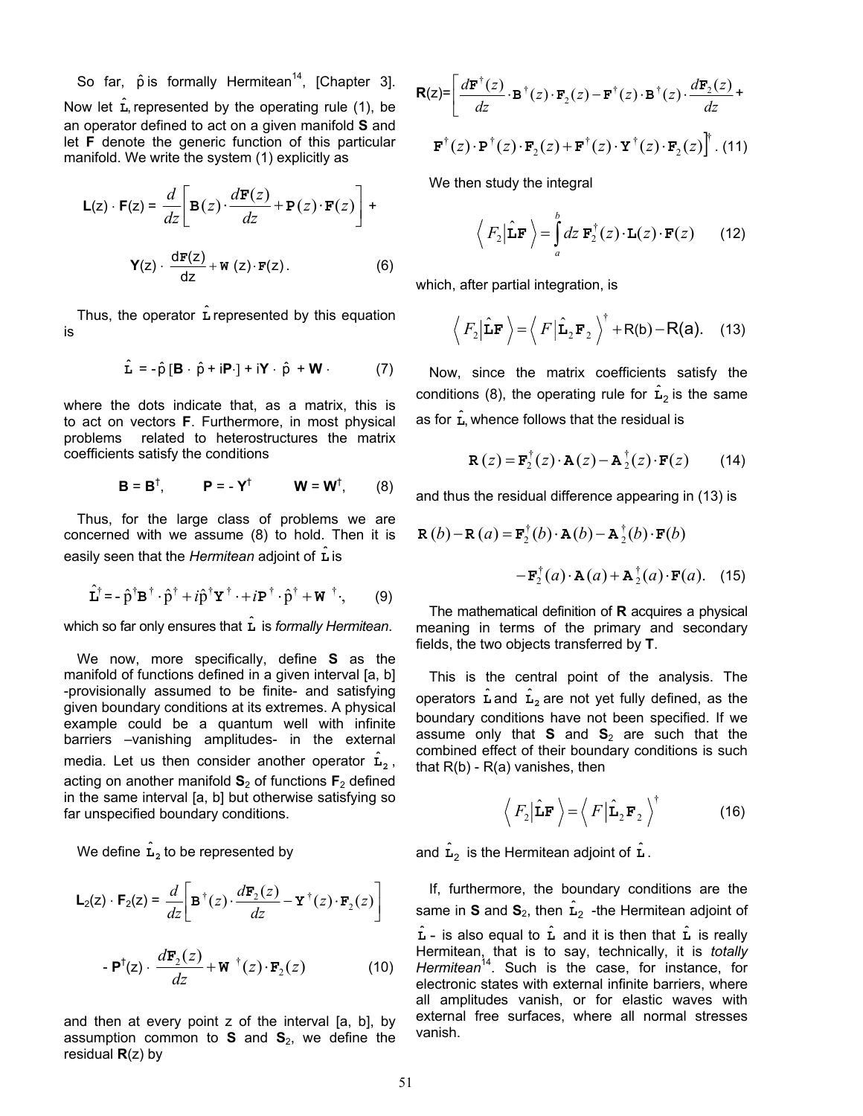So far,  $\hat{p}$  is formally Hermitean<sup>14</sup>, [Chapter 3]. Now let  $\hat{\mathbf{L}}$ , represented by the operating rule (1), be  $\mathbf{R}(z)$ = an operator defined to act on a given manifold **S** and let **F** denote the generic function of this particular manifold. We write the system (1) explicitly as

$$
\mathsf{L}(z) \cdot \mathsf{F}(z) = \frac{d}{dz} \left[ \mathsf{B}(z) \cdot \frac{d\mathsf{F}(z)}{dz} + \mathsf{P}(z) \cdot \mathsf{F}(z) \right] + \mathsf{Y}(z) \cdot \frac{d\mathsf{F}(z)}{dz} + \mathsf{W}(z) \cdot \mathsf{F}(z). \tag{6}
$$

Thus, the operator **L** represented by this equation is

$$
\hat{\mathbf{L}} = -\hat{\rho} [\mathbf{B} \cdot \hat{\rho} + i\mathbf{P} \cdot] + i\mathbf{Y} \cdot \hat{\rho} + \mathbf{W} \cdot (7)
$$

where the dots indicate that, as a matrix, this is<br>to act on vectors **F**. Furthermore, in most physical as for  $\hat{L}$ , problems related to heterostructures the matrix coefficients satisfy the conditions

$$
\mathbf{B} = \mathbf{B}^{\dagger}, \qquad \mathbf{P} = -\mathbf{Y}^{\dagger} \qquad \mathbf{W} = \mathbf{W}^{\dagger}, \qquad (8)
$$

Thus, for the large class of problems we are concerned with we assume (8) to hold. Then it is easily seen that the *Hermitean* adjoint of **L** is ˆ

$$
\hat{\mathbf{L}}^{\dagger} = -\hat{\mathbf{p}}^{\dagger} \mathbf{B}^{\dagger} \cdot \hat{\mathbf{p}}^{\dagger} + i\hat{\mathbf{p}}^{\dagger} \mathbf{Y}^{\dagger} \cdot + i\mathbf{P}^{\dagger} \cdot \hat{\mathbf{p}}^{\dagger} + \mathbf{W}^{\dagger}, \qquad (9)
$$

which so far only ensures that **L** is *formally Hermitean*.

We now, more specifically, define **S** as the manifold of functions defined in a given interval [a, b] -provisionally assumed to be finite- and satisfying given boundary conditions at its extremes. A physical example could be a quantum well with infinite barriers –vanishing amplitudes- in the external media. Let us then consider another operator  $\hat{\mathbf{L}}_2$ , acting on another manifold **S** 2 of functions **F**2 defined in the same interval [a, b] but otherwise satisfying so far unspecified boundary conditions.

We define  $\hat{\mathbf{L}}_2$  to be represented by

$$
\mathsf{L}_2(z) \cdot \mathsf{F}_2(z) = \frac{d}{dz} \bigg[ \mathbf{B}^\dagger(z) \cdot \frac{d\mathbf{F}_2(z)}{dz} - \mathbf{Y}^\dagger(z) \cdot \mathbf{F}_2(z) \bigg]
$$

$$
- \mathbf{P}^{\dagger}(z) \cdot \frac{d\mathbf{F}_2(z)}{dz} + \mathbf{W}^{\dagger}(z) \cdot \mathbf{F}_2(z) \tag{10}
$$

and then at every point z of the interval [a, b], by assumption common to  $S$  and  $S_2$ , we define the residual **R**(z) by

$$
\mathbf{R}(z) = \left[ \frac{d\mathbf{F}^{\dagger}(z)}{dz} \cdot \mathbf{B}^{\dagger}(z) \cdot \mathbf{F}_2(z) - \mathbf{F}^{\dagger}(z) \cdot \mathbf{B}^{\dagger}(z) \cdot \frac{d\mathbf{F}_2(z)}{dz} + \n\mathbf{F}^{\dagger}(z) \cdot \mathbf{P}^{\dagger}(z) \cdot \mathbf{F}_2(z) + \mathbf{F}^{\dagger}(z) \cdot \mathbf{Y}^{\dagger}(z) \cdot \mathbf{F}_2(z) \right]^{\dagger} .
$$
\n(11)

We then study the integral

$$
\langle F_2 | \hat{\mathbf{L}} \mathbf{F} \rangle = \int_a^b dz \ \mathbf{F}_2^{\dagger}(z) \cdot \mathbf{L}(z) \cdot \mathbf{F}(z)
$$
 (12)

which, after partial integration, is

$$
\langle F_2 | \hat{\mathbf{L}} \mathbf{F} \rangle = \langle F | \hat{\mathbf{L}}_2 \mathbf{F}_2 \rangle^{\dagger} + R(\mathsf{b}) - R(\mathsf{a}). \quad (13)
$$

**Now, since the matrix coefficients satisfy the** conditions (8), the operating rule for  $\hat{\mathbf{L}}_2$  is the same as for  $\hat{\mathbf{L}}$ , whence follows that the residual is

$$
\mathbf{R}(z) = \mathbf{F}_2^{\dagger}(z) \cdot \mathbf{A}(z) - \mathbf{A}_2^{\dagger}(z) \cdot \mathbf{F}(z)
$$
 (14)

and thus the residual difference appearing in (13) is

$$
\mathbf{R}(b) - \mathbf{R}(a) = \mathbf{F}_2^{\dagger}(b) \cdot \mathbf{A}(b) - \mathbf{A}_2^{\dagger}(b) \cdot \mathbf{F}(b)
$$

$$
- \mathbf{F}_2^{\dagger}(a) \cdot \mathbf{A}(a) + \mathbf{A}_2^{\dagger}(a) \cdot \mathbf{F}(a). \quad (15)
$$

The mathematical definition of **R** acquires a physical meaning in terms of the primary and secondary fields, the two objects transferred by **T**.

This is the central point of the analysis. The operators  $\hat{\textbf{L}}$  and  $\hat{\textbf{L}}_2$  are not yet fully defined, as the boundary conditions have not been specified. If we assume only that **S** and **S** 2 are such that the combined effect of their boundary conditions is such that  $R(b)$  -  $R(a)$  vanishes, then

$$
\langle F_2 | \hat{\mathbf{L}} \mathbf{F} \rangle = \langle F | \hat{\mathbf{L}}_2 \mathbf{F}_2 \rangle^{\dagger}
$$
 (16)

 $\hat{\mathbf{L}}_2$  to be represented by  $\hat{\mathbf{L}}_2$  is the Hermitean adjoint of  $\hat{\mathbf{L}}$ .

If, furthermore, the boundary conditions are the same in **S** and  $\mathbf{S}_2$ , then  $\hat{\mathbf{L}}_2$  -the Hermitean adjoint of is also equal to  **and it is then that**  $**L**$  **is really** Hermitean, that is to say, technically, it is *totally Hermitean* 14. Such is the case, for instance, for  $\hat{\textbf{L}}$  - is also equal to  $\hat{\textbf{L}}$  and it is then that  $\hat{\textbf{L}}$ electronic states with external infinite barriers, where all amplitudes vanish, or for elastic waves with external free surfaces, where all normal stresses vanish.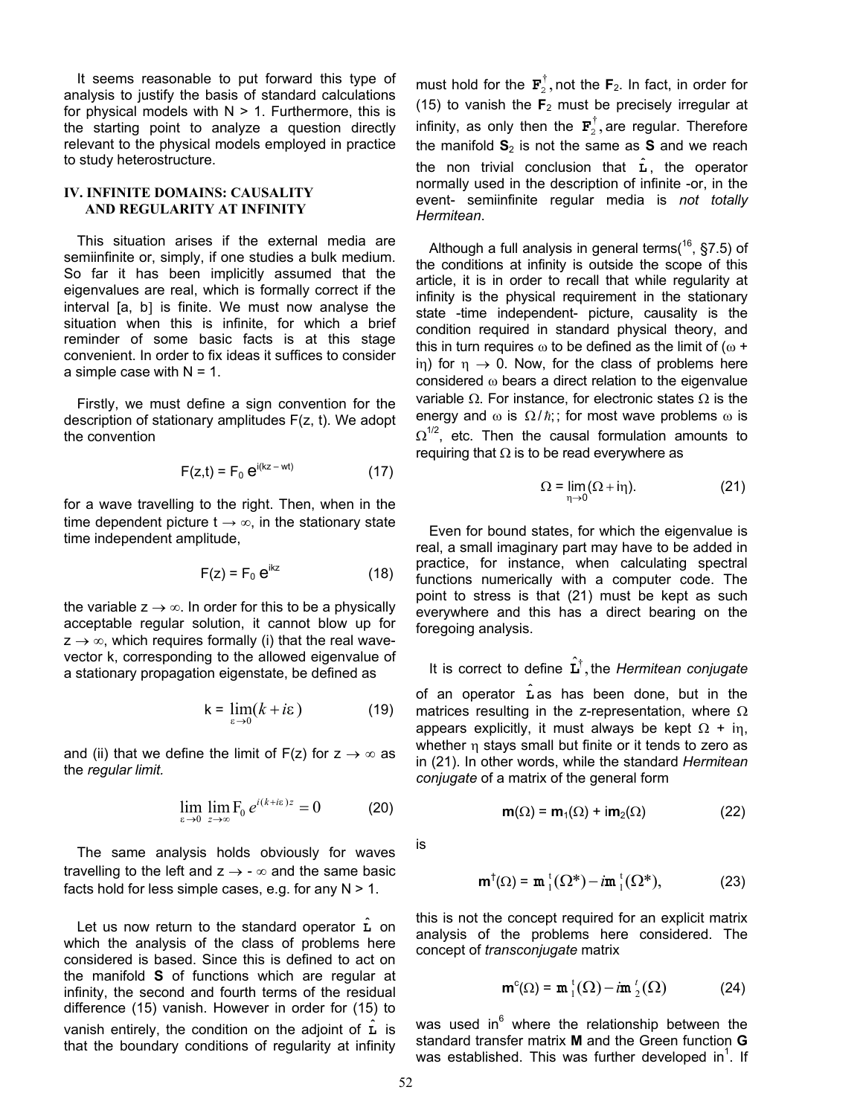It seems reasonable to put forward this type of analysis to justify the basis of standard calculations for physical models with  $N > 1$ . Furthermore, this is the starting point to analyze a question directly relevant to the physical models employed in practice to study heterostructure.

# **IV. INFINITE DOMAINS: CAUSALITY AND REGULARITY AT INFINITY**

This situation arises if the external media are semiinfinite or, simply, if one studies a bulk medium. So far it has been implicitly assumed that the eigenvalues are real, which is formally correct if the interval [a, b] is finite. We must now analyse the situation when this is infinite, for which a brief reminder of some basic facts is at this stage convenient. In order to fix ideas it suffices to consider a simple case with  $N = 1$ .

Firstly, we must define a sign convention for the description of stationary amplitudes F(z, t). We adopt the convention

$$
F(z,t) = F_0 e^{i(kz - wt)}
$$
 (17)

for a wave travelling to the right. Then, when in the time dependent picture  $t \rightarrow \infty$ , in the stationary state time independent amplitude,

$$
F(z) = F_0 e^{ikz}
$$
 (18)

the variable  $z \rightarrow \infty$ . In order for this to be a physically acceptable regular solution, it cannot blow up for  $z \rightarrow \infty$ , which requires formally (i) that the real wavevector k, corresponding to the allowed eigenvalue of a stationary propagation eigenstate, be defined as

$$
k = \lim_{\varepsilon \to 0} (k + i\varepsilon)
$$
 (19)

and (ii) that we define the limit of F(z) for  $z \rightarrow \infty$  as the *regular limit.* 

$$
\lim_{\varepsilon \to 0} \lim_{z \to \infty} F_0 e^{i(k + i\varepsilon)z} = 0 \tag{20}
$$

The same analysis holds obviously for waves travelling to the left and  $z \rightarrow -\infty$  and the same basic facts hold for less simple cases, e.g. for any  $N > 1$ .

Let us now return to the standard operator  $\hat{\mathbf{L}}$  on which the analysis of the class of problems here considered is based. Since this is defined to act on the manifold **S** of functions which are regular at infinity, the second and fourth terms of the residual difference (15) vanish. However in order for (15) to vanish entirely, the condition on the adjoint of  $\hat{L}$  is that the boundary conditions of regularity at infinity

must hold for the  $\mathbf{F}_2^{\dagger}$ , not the F  $2^7$ , not the  $\mathbf{F}_2$ . In fact, in order for (15) to vanish the  $F_2$  must be precisely irregular at infinity, as only then the  $\mathbf{F}_2^{\dagger}$ , are regular. Therefore the manifold **S** 2 is not the same as **S** and we reach 2 the non trivial conclusion that  $\hat{L}$ , the operator normally used in the description of infinite -or, in the event- semiinfinite regular media is *not totally Hermitean*.

energy and  $\omega$  is  $\Omega/\hbar$ ;; for most wave problems  $\omega$  is Although a full analysis in general terms( $^{16}$ , §7.5) of the conditions at infinity is outside the scope of this article, it is in order to recall that while regularity at infinity is the physical requirement in the stationary state -time independent- picture, causality is the condition required in standard physical theory, and this in turn requires  $\omega$  to be defined as the limit of ( $\omega$  + in) for  $\eta \rightarrow 0$ . Now, for the class of problems here considered ω bears a direct relation to the eigenvalue variable  $Ω$ . For instance, for electronic states  $Ω$  is the  $\Omega^{1/2}$ , etc. Then the causal formulation amounts to requiring that  $\Omega$  is to be read everywhere as

$$
\Omega = \lim_{\eta \to 0} (\Omega + i\eta). \tag{21}
$$

Even for bound states, for which the eigenvalue is real, a small imaginary part may have to be added in practice, for instance, when calculating spectral functions numerically with a computer code. The point to stress is that (21) must be kept as such everywhere and this has a direct bearing on the foregoing analysis.

It is correct to define  $\hat{\mathbf{L}}^{\dagger}$ , the *Hermitean conjugate* of an operator  $\hat{\mathbf{L}}$  as has been done, but in the matrices resulting in the z-representation, where  $\Omega$ appears explicitly, it must always be kept  $Ω + iη$ , whether η stays small but finite or it tends to zero as in (21). In other words, while the standard *Hermitean conjugate* of a matrix of the general form

$$
\mathbf{m}(\Omega) = \mathbf{m}_1(\Omega) + i\mathbf{m}_2(\Omega) \tag{22}
$$

is

$$
\mathbf{m}^{\dagger}(\Omega) = \mathbf{m}^{\dagger}_{1}(\Omega^{*}) - i\mathbf{m}^{\dagger}_{1}(\Omega^{*}), \qquad (23)
$$

this is not the concept required for an explicit matrix analysis of the problems here considered. The concept of *transconjugate* matrix

$$
\mathbf{m}^c(\Omega) = \mathbf{m}^t_1(\Omega) - i\mathbf{m}^t_2(\Omega)
$$
 (24)

was used in<sup>6</sup> where the relationship between the standard transfer matrix **M** and the Green function **G** was established. This was further developed in<sup>1</sup>. If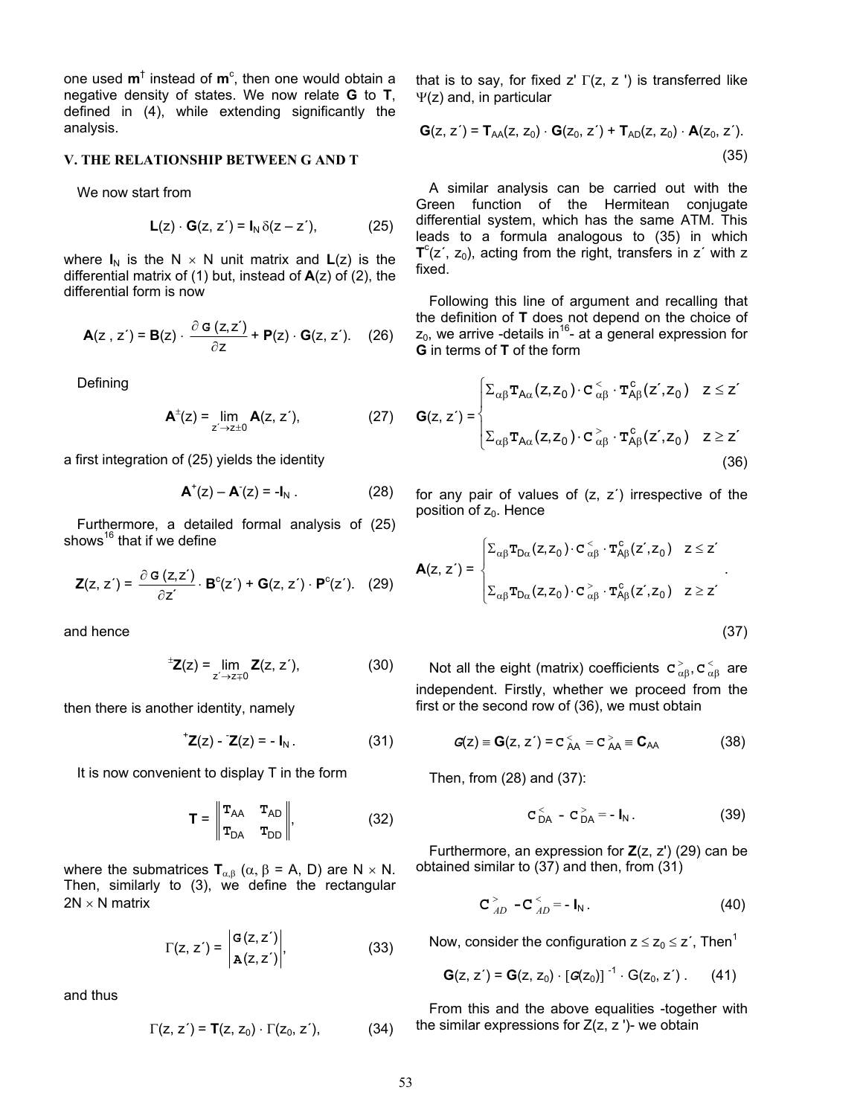one used **m**<sup>†</sup> instead of **m**<sup>c</sup>, then one would obtain a negative density of states. We now relate **G** to **T**, defined in (4), while extending significantly the analysis.

### **V. THE RELATIONSHIP BETWEEN G AND T**

We now start from

$$
\mathsf{L}(z) \cdot \mathsf{G}(z, z') = \mathsf{I}_N \, \delta(z - z'), \tag{25}
$$

where  $I_N$  is the N  $\times$  N unit matrix and  $L(z)$  is the differential matrix of (1) but, instead of **A**(z) of (2), the

$$
\mathbf{A}(z, z') = \mathbf{B}(z) \cdot \frac{\partial \mathbf{G}(z, z')}{\partial z} + \mathbf{P}(z) \cdot \mathbf{G}(z, z'). \quad (26)
$$

Defining

$$
A^{\pm}(z) = \lim_{z' \to z \pm 0} A(z, z'), \tag{27}
$$

a first integration of (25) yields the identity

$$
\mathbf{A}^{\dagger}(z) - \mathbf{A}^{\dagger}(z) = -\mathbf{I}_N \ . \tag{28}
$$

Furthermore, a detailed formal analysis of (25) shows<sup>16</sup> that if we define

$$
\mathbf{Z}(z, z') = \frac{\partial \mathbf{G}(z, z')}{\partial z'} \cdot \mathbf{B}^{c}(z') + \mathbf{G}(z, z') \cdot \mathbf{P}^{c}(z'). \quad (29)
$$

and hence (37)

$$
{}^{\pm}Z(z) = \lim_{z' \to z+0} Z(z, z'), \tag{30}
$$

then there is another identity, namely

$$
{}^{\dagger} \mathbf{Z}(z) - \mathbf{Z}(z) = -\mathbf{I}_N. \tag{31}
$$

It is now convenient to display  $T$  in the form Then, from (28) and (37):

$$
\mathbf{T} = \begin{vmatrix} \mathbf{T}_{AA} & \mathbf{T}_{AD} \\ \mathbf{T}_{DA} & \mathbf{T}_{DD} \end{vmatrix}, \qquad (32) \qquad \mathbf{C}_{DA}^< - \mathbf{C}_{DA}^> = -\mathbf{I}_N. \qquad (39)
$$

where the submatrices  $T_{\alpha,\beta}$  ( $\alpha, \beta$  = A, D) are N  $\times$  N. obtained similar to (37) and then, from (31) Then, similarly to (3), we define the rectangular  $2N \times N$  matrix  $C_{AD}^> -C_{AD}^< = -I_N$ . (40)

 $\mathcal{L}^{\text{max}}$ 

$$
\Gamma(z, z') = \begin{vmatrix} G(z, z') \\ A(z, z') \end{vmatrix}, \tag{33}
$$

 $\sim$ 

and thus

$$
\Gamma(z, z') = \mathbf{T}(z, z_0) \cdot \Gamma(z_0, z'), \tag{34}
$$

that is to say, for fixed z'  $\Gamma(z, z')$  is transferred like Ψ(z) and, in particular

$$
\mathbf{G}(z, z') = \mathbf{T}_{AA}(z, z_0) \cdot \mathbf{G}(z_0, z') + \mathbf{T}_{AD}(z, z_0) \cdot \mathbf{A}(z_0, z').
$$
\n(35)

A similar analysis can be carried out with the Green function of the Hermitean conjugate differential system, which has the same ATM. This leads to a formula analogous to (35) in which  $T^{c}(z^{\prime}, z_{0})$ , acting from the right, transfers in  $z^{\prime}$  with z fixed.

differential form is now differential form is now the definition of **T** does not depend on the choice of  $z_0$ , we arrive -details in<sup>16</sup>- at a general expression for **G** in terms of **T** of the form

Defining  
\n
$$
A^{\pm}(z) = \lim_{z' \to z \pm 0} A(z, z'), \qquad (27) \qquad G(z, z') = \begin{cases} \sum_{\alpha \beta} \mathbf{T}_{A\alpha}(z, z_0) \cdot \mathbf{C}^{\leq}_{\alpha\beta} \cdot \mathbf{T}_{A\beta}^{\text{c}}(z', z_0) & z \leq z' \\ \sum_{\alpha \beta} \mathbf{T}_{A\alpha}(z, z_0) \cdot \mathbf{C}^{\geq}_{\alpha\beta} \cdot \mathbf{T}_{A\beta}^{\text{c}}(z', z_0) & z \geq z' \end{cases}
$$
\na first integration of (25) yields the identity (36)

for any pair of values of  $(z, z')$  irrespective of the position of  $z_0$ . Hence

$$
\mathbf{A}(z, z') = \begin{cases} \sum_{\alpha\beta} \mathbf{T}_{D\alpha}(z, z_0) \cdot \mathbf{C}_{\alpha\beta}^{\langle} \cdot \mathbf{T}_{A\beta}^c(z', z_0) & z \leq z' \\ \sum_{\alpha\beta} \mathbf{T}_{D\alpha}(z, z_0) \cdot \mathbf{C}_{\alpha\beta}^{\rangle} \cdot \mathbf{T}_{A\beta}^c(z', z_0) & z \geq z' \end{cases}.
$$

Not all the eight (matrix) coefficients  $\mathbf{c}_{\alpha\beta}^>$ ,  $\mathbf{c}_{\alpha\beta}^<$  are independent. Firstly, whether we proceed from the first or the second row of (36), we must obtain

$$
Z(z) = -I_N.
$$
 (31)  $G(z) = G(z, z') = c_{AA}^{\lt} = c_{AA}^{\gt} = C_{AA}$  (38)

$$
C_{DA}^< - C_{DA}^> = -I_N.
$$
 (39)

Furthermore, an expression for **Z**(z, z') (29) can be

$$
\mathbf{C}_{AD}^> - \mathbf{C}_{AD}^< = -\mathbf{I}_N. \tag{40}
$$

Now, consider the configuration  $z \le z_0 \le z'$ , Then<sup>1</sup>

$$
G(z, z') = G(z, z_0) \cdot [G(z_0)]^{-1} \cdot G(z_0, z'). \qquad (41)
$$

From this and the above equalities -together with  $\Gamma(z, z') = \mathbf{T}(z, z_0) \cdot \Gamma(z_0, z')$  (34) the similar expressions for  $Z(z, z')$ - we obtain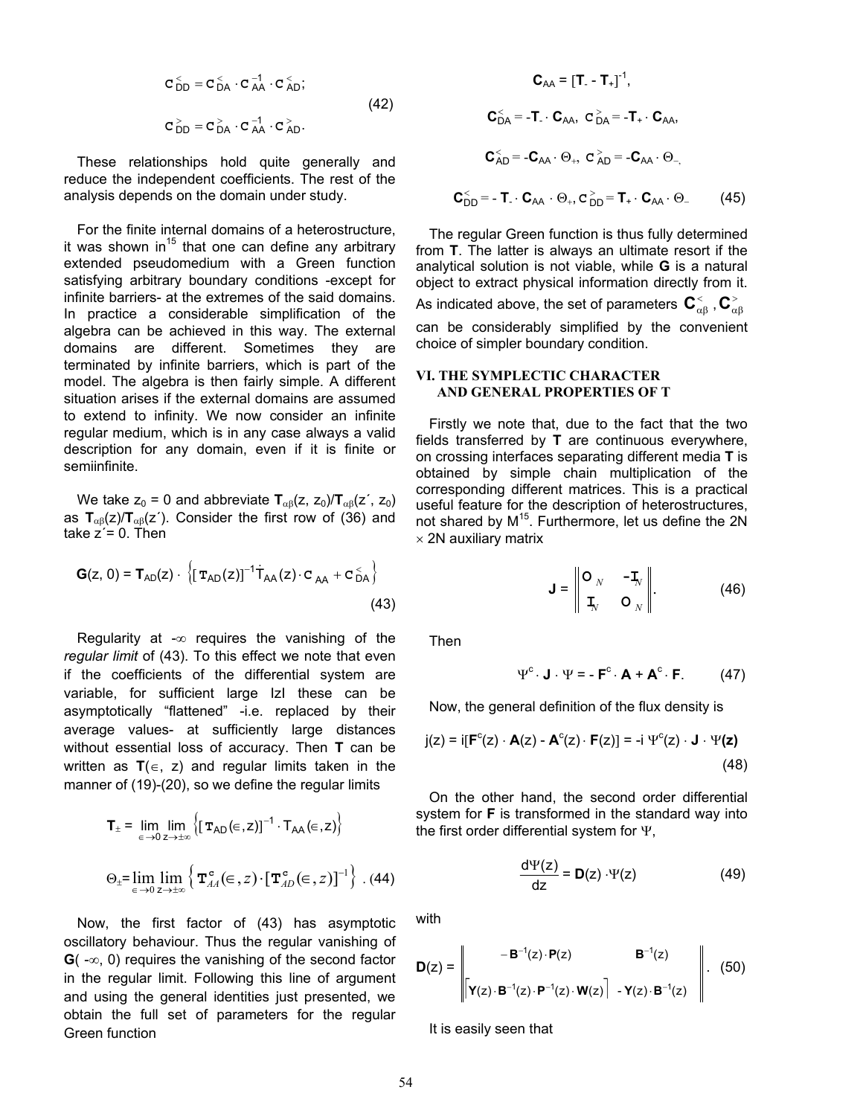$$
\mathbf{C}_{DD}^{\leq} = \mathbf{C}_{DA}^{\leq} \cdot \mathbf{C}_{AA}^{-1} \cdot \mathbf{C}_{AD}^{\leq};
$$
\n
$$
\mathbf{C}_{DD}^{\geq} = \mathbf{C}_{DA}^{\geq} \cdot \mathbf{C}_{AA}^{-1} \cdot \mathbf{C}_{AD}^{\geq}. \tag{42}
$$

These relationships hold quite generally and reduce the independent coefficients. The rest of the analysis depends on the domain under study.

For the finite internal domains of a heterostructure, it was shown in<sup>15</sup> that one can define any arbitrary extended pseudomedium with a Green function satisfying arbitrary boundary conditions -except for infinite barriers- at the extremes of the said domains. In practice a considerable simplification of the algebra can be achieved in this way. The external domains are different. Sometimes they are terminated by infinite barriers, which is part of the model. The algebra is then fairly simple. A different situation arises if the external domains are assumed to extend to infinity. We now consider an infinite regular medium, which is in any case always a valid description for any domain, even if it is finite or semiinfinite.

We take  $z_0 = 0$  and abbreviate  $T_{\alpha\beta}(z, z_0)/T_{\alpha\beta}(z', z_0)$ as  $T_{\alpha\beta}(z) / T_{\alpha\beta}(z')$ . Consider the first row of (36) and take  $z = 0$ . Then

$$
\mathbf{G}(z, 0) = \mathbf{T}_{AD}(z) \cdot \left\{ [\mathbf{T}_{AD}(z)]^{-1} \dot{\mathbf{T}}_{AA}(z) \cdot \mathbf{C}_{AA} + \mathbf{C}_{DA}^2 \right\}
$$
(43)

Regularity at  $-\infty$  reguires the vanishing of the *regular limit* of (43). To this effect we note that even if the coefficients of the differential system are variable, for sufficient large IzI these can be asymptotically "flattened" -i.e. replaced by their average values- at sufficiently large distances without essential loss of accuracy. Then **T** can be written as **T**(∈, z) and regular limits taken in the manner of (19)-(20), so we define the regular limits

$$
\mathbf{T}_{\pm} = \lim_{\epsilon \to 0} \lim_{z \to \pm \infty} \left\{ \left[ \mathbf{T}_{AD}(\epsilon, z) \right]^{-1} \cdot \mathbf{T}_{AA}(\epsilon, z) \right\}
$$

$$
\Theta_{\pm} = \lim_{\epsilon \to 0} \lim_{z \to \pm \infty} \left\{ \mathbf{T}_{AA}^{\mathbf{c}}(\epsilon, z) \cdot \left[ \mathbf{T}_{AD}^{\mathbf{c}}(\epsilon, z) \right]^{-1} \right\} . \tag{44}
$$

Now, the first factor of  $(43)$  has asymptotic with oscillatory behaviour. Thus the regular vanishing of **G**( -∞, 0) requires the vanishing of the second factor in the regular limit. Following this line of argument and using the general identities just presented, we obtain the full set of parameters for the regular Green function

$$
\mathbf{C}_{AA} = [\mathbf{T}_{-} - \mathbf{T}_{+}]^{-1},
$$

$$
\mathbf{C}_{DA}^{<} = -\mathbf{T}_{-} \cdot \mathbf{C}_{AA}, \ \mathbf{C}_{DA}^{>} = -\mathbf{T}_{+} \cdot \mathbf{C}_{AA},
$$

$$
\mathbf{C}_{AD}^{<} = -\mathbf{C}_{AA} \cdot \Theta_{+}, \ \mathbf{C}_{AD}^{>} = -\mathbf{C}_{AA} \cdot \Theta_{-},
$$

$$
\tilde{\mathbf{C}}_{DD}^{>} = -\mathbf{T}_{-} \cdot \mathbf{C}_{AA} \cdot \Theta_{+}, \ \mathbf{C}_{DD}^{>} = \mathbf{T}_{+} \cdot \mathbf{C}_{AA} \cdot \Theta_{-} \tag{45}
$$

The regular Green function is thus fully determined from **T**. The latter is always an ultimate resort if the analytical solution is not viable, while **G** is a natural object to extract physical information directly from it. **As indicated above, the set of parameters**  $\mathbf{C}^{\scriptscriptstyle{<}}_{\alpha\beta}$  **,**  $\mathbf{C}^{\scriptscriptstyle{>}}_{\alpha\beta}$ can be considerably simplified by the convenient choice of simpler boundary condition.

# **VI. THE SYMPLECTIC CHARACTER AND GENERAL PROPERTIES OF T**

Firstly we note that, due to the fact that the two fields transferred by **T** are continuous everywhere, on crossing interfaces separating different media **T** is obtained by simple chain multiplication of the corresponding different matrices. This is a practical useful feature for the description of heterostructures, not shared by M<sup>15</sup>. Furthermore, let us define the 2N  $\times$  2N auxiliary matrix

$$
\mathbf{J} = \begin{bmatrix} \mathbf{O}_N & -\mathbf{I}_N \\ \mathbf{I}_N & \mathbf{O}_N \end{bmatrix} . \tag{46}
$$

Then

$$
\Psi^c \cdot \mathbf{J} \cdot \Psi = -\mathbf{F}^c \cdot \mathbf{A} + \mathbf{A}^c \cdot \mathbf{F}.
$$
 (47)

Now, the general definition of the flux density is

$$
j(z) = i[Fc(z) \cdot A(z) - Ac(z) \cdot F(z)] = -i \Psic(z) \cdot J \cdot \Psi(z)
$$
\n(48)

On the other hand, the second order differential system for **F** is transformed in the standard way into the first order differential system for Ψ,

$$
\frac{d\Psi(z)}{dz} = D(z) \cdot \Psi(z)
$$
 (49)

$$
\mathbf{D}(z) = \begin{vmatrix} -\mathbf{B}^{-1}(z) \cdot \mathbf{P}(z) & \mathbf{B}^{-1}(z) \\ \begin{bmatrix} \mathbf{Y}(z) \cdot \mathbf{B}^{-1}(z) \cdot \mathbf{P}^{-1}(z) \cdot \mathbf{W}(z) \end{bmatrix} - \mathbf{Y}(z) \cdot \mathbf{B}^{-1}(z) \end{vmatrix} . (50)
$$

It is easily seen that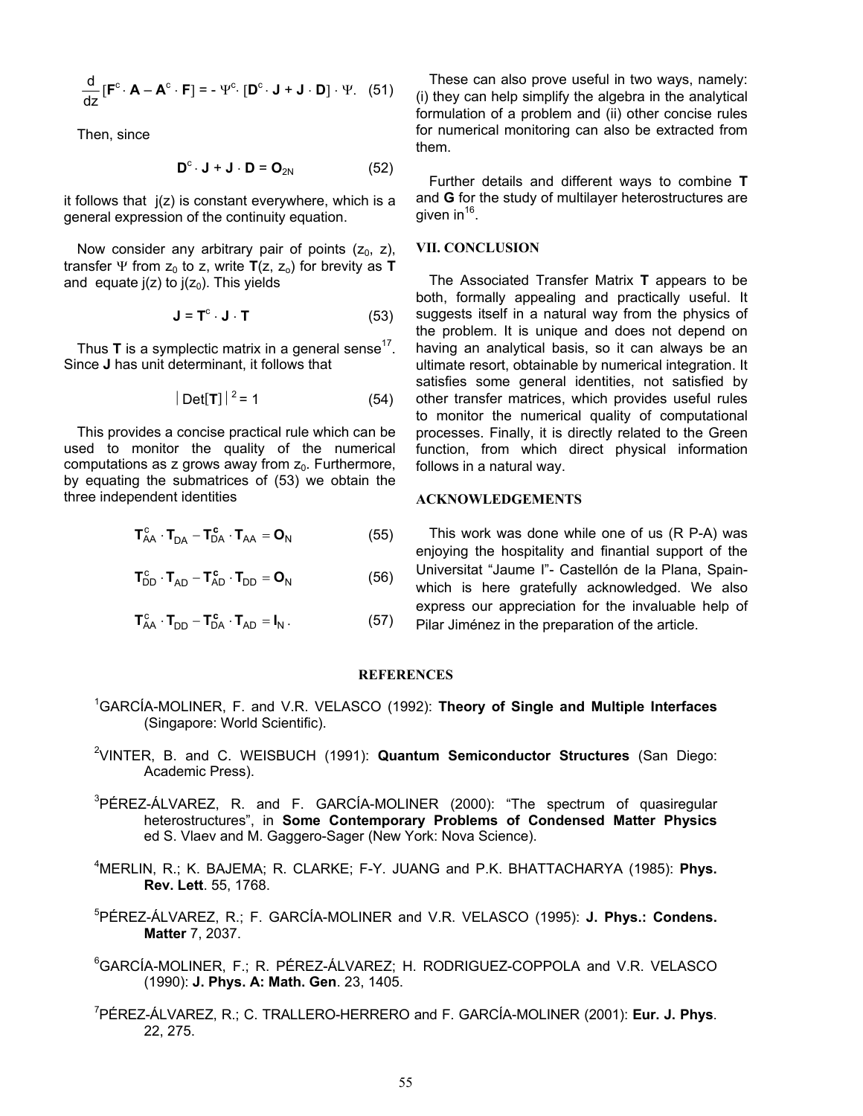$$
\frac{d}{dz}[\mathbf{F}^c \cdot \mathbf{A} - \mathbf{A}^c \cdot \mathbf{F}] = -\Psi^c \cdot [\mathbf{D}^c \cdot \mathbf{J} + \mathbf{J} \cdot \mathbf{D}] \cdot \Psi.
$$
 (51)

Then, since

$$
\mathbf{D}^{\mathrm{c}} \cdot \mathbf{J} + \mathbf{J} \cdot \mathbf{D} = \mathbf{O}_{2N} \tag{52}
$$

it follows that  $i(z)$  is constant everywhere, which is a general expression of the continuity equation.

Now consider any arbitrary pair of points  $(z_0, z)$ , **VII. CONCLUSION** transfer  $\Psi$  from  $Z_0$  to z, write  $T(z, z_0)$  for brevity as **T** and equate  $j(z)$  to  $j(z_0)$ . This yields

$$
\mathbf{J} = \mathbf{T}^{\mathrm{c}} \cdot \mathbf{J} \cdot \mathbf{T} \tag{53}
$$

Thus **T** is a symplectic matrix in a general sense<sup>17</sup>. Since **J** has unit determinant, it follows that

$$
|\det[\mathbf{T}]|^2 = 1
$$
 (54)

This provides a concise practical rule which can be used to monitor the quality of the numerical computations as  $z$  grows away from  $z_0$ . Furthermore, by equating the submatrices of (53) we obtain the three independent identities **ACKNOWLEDGEMENTS** 

$$
\mathbf{T}_{AA}^{c} \cdot \mathbf{T}_{DA} - \mathbf{T}_{DA}^{c} \cdot \mathbf{T}_{AA} = \mathbf{O}_{N}
$$
 (55)

$$
\mathbf{T}_{DD}^c \cdot \mathbf{T}_{AD} - \mathbf{T}_{AD}^c \cdot \mathbf{T}_{DD} = \mathbf{O}_N \tag{56}
$$

$$
\mathbf{T}_{AA}^c \cdot \mathbf{T}_{DD} - \mathbf{T}_{DA}^c \cdot \mathbf{T}_{AD} = \mathbf{I}_N. \tag{57}
$$

These can also prove useful in two ways, namely: (i) they can help simplify the algebra in the analytical formulation of a problem and (ii) other concise rules for numerical monitoring can also be extracted from them.

Further details and different ways to combine **T** and **G** for the study of multilayer heterostructures are given in  $16$ .

The Associated Transfer Matrix **T** appears to be both, formally appealing and practically useful. It suggests itself in a natural way from the physics of the problem. It is unique and does not depend on having an analytical basis, so it can always be an ultimate resort, obtainable by numerical integration. It satisfies some general identities, not satisfied by other transfer matrices, which provides useful rules to monitor the numerical quality of computational processes. Finally, it is directly related to the Green function, from which direct physical information follows in a natural way.

This work was done while one of us (R P-A) was enjoying the hospitality and finantial support of the Universitat "Jaume I"- Castellón de la Plana, Spainwhich is here gratefully acknowledged. We also express our appreciation for the invaluable help of Pilar Jiménez in the preparation of the article.

## **REFERENCES**

- 1 GARCÍA-MOLINER, F. and V.R. VELASCO (1992): **Theory of Single and Multiple Interfaces** (Singapore: World Scientific).
- 2 VINTER, B. and C. WEISBUCH (1991): **Quantum Semiconductor Structures** (San Diego: Academic Press).
- <sup>3</sup>PÉREZ-ÁLVAREZ, R. and F. GARCÍA-MOLINER (2000): "The spectrum of quasiregular heterostructures", in **Some Contemporary Problems of Condensed Matter Physics** ed S. Vlaev and M. Gaggero-Sager (New York: Nova Science).
- 4 MERLIN, R.; K. BAJEMA; R. CLARKE; F-Y. JUANG and P.K. BHATTACHARYA (1985): **Phys. Rev. Lett**. 55, 1768.
- 5 PÉREZ-ÁLVAREZ, R.; F. GARCÍA-MOLINER and V.R. VELASCO (1995): **J. Phys.: Condens. Matter** 7, 2037.
- 6 GARCÍA-MOLINER, F.; R. PÉREZ-ÁLVAREZ; H. RODRIGUEZ-COPPOLA and V.R. VELASCO (1990): **J. Phys. A: Math. Gen**. 23, 1405.
- 7 PÉREZ-ÁLVAREZ, R.; C. TRALLERO-HERRERO and F. GARCÍA-MOLINER (2001): **Eur. J. Phys**. 22, 275.